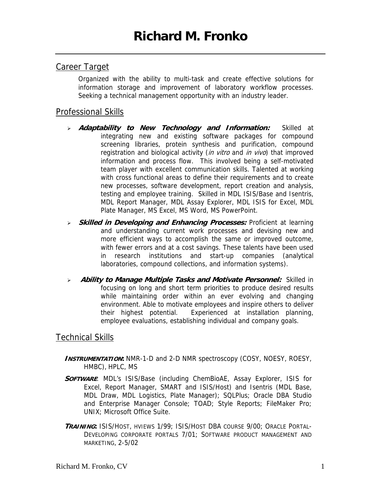## Career Target

Organized with the ability to multi-task and create effective solutions for information storage and improvement of laboratory workflow processes. Seeking a technical management opportunity with an industry leader.

## Professional Skills

- <sup>¾</sup> **Adaptability to New Technology and Information:** Skilled at integrating new and existing software packages for compound screening libraries, protein synthesis and purification, compound registration and biological activity (in vitro and in vivo) that improved information and process flow. This involved being a self-motivated team player with excellent communication skills. Talented at working with cross functional areas to define their requirements and to create new processes, software development, report creation and analysis, testing and employee training. Skilled in MDL ISIS/Base and Isentris, MDL Report Manager, MDL Assay Explorer, MDL ISIS for Excel, MDL Plate Manager, MS Excel, MS Word, MS PowerPoint.
- <sup>¾</sup> **Skilled in Developing and Enhancing Processes:** Proficient at learning and understanding current work processes and devising new and more efficient ways to accomplish the same or improved outcome, with fewer errors and at a cost savings. These talents have been used in research institutions and start-up companies (analytical laboratories, compound collections, and information systems).
- <sup>¾</sup> **Ability to Manage Multiple Tasks and Motivate Personnel:** Skilled in focusing on long and short term priorities to produce desired results while maintaining order within an ever evolving and changing environment. Able to motivate employees and inspire others to deliver their highest potential. Experienced at installation planning, employee evaluations, establishing individual and company goals.

## Technical Skills

- **INSTRUMENTATION:** NMR-1-D and 2-D NMR spectroscopy (COSY, NOESY, ROESY, HMBC), HPLC, MS
- **SOFTWARE**: MDL's ISIS/Base (including ChemBioAE, Assay Explorer, ISIS for Excel, Report Manager, SMART and ISIS/Host) and Isentris (MDL Base, MDL Draw, MDL Logistics, Plate Manager); SQLPlus; Oracle DBA Studio and Enterprise Manager Console; TOAD; Style Reports; FileMaker Pro; UNIX; Microsoft Office Suite.
- **TRAINING:** ISIS/HOST, HVIEWS 1/99; ISIS/HOST DBA COURSE 9/00; ORACLE PORTAL-DEVELOPING CORPORATE PORTALS 7/01; SOFTWARE PRODUCT MANAGEMENT AND MARKETING, 2-5/02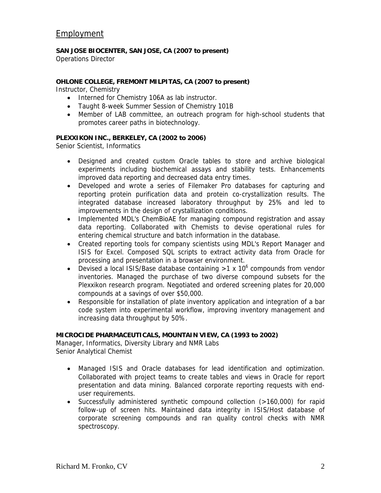# Employment

#### **SAN JOSE BIOCENTER, SAN JOSE, CA (2007 to present)**

Operations Director

### **OHLONE COLLEGE, FREMONT MILPITAS, CA (2007 to present)**

Instructor, Chemistry

- Interned for Chemistry 106A as lab instructor.
- Taught 8-week Summer Session of Chemistry 101B
- Member of LAB committee, an outreach program for high-school students that promotes career paths in biotechnology.

#### **PLEXXIKON INC., BERKELEY, CA (2002 to 2006)**

Senior Scientist, Informatics

- Designed and created custom Oracle tables to store and archive biological experiments including biochemical assays and stability tests. Enhancements improved data reporting and decreased data entry times.
- Developed and wrote a series of Filemaker Pro databases for capturing and reporting protein purification data and protein co-crystallization results. The integrated database increased laboratory throughput by 25% and led to improvements in the design of crystallization conditions.
- Implemented MDL's ChemBioAE for managing compound registration and assay data reporting. Collaborated with Chemists to devise operational rules for entering chemical structure and batch information in the database.
- Created reporting tools for company scientists using MDL's Report Manager and ISIS for Excel. Composed SQL scripts to extract activity data from Oracle for processing and presentation in a browser environment.
- Devised a local ISIS/Base database containing  $>1 \times 10^6$  compounds from vendor inventories. Managed the purchase of two diverse compound subsets for the Plexxikon research program. Negotiated and ordered screening plates for 20,000 compounds at a savings of over \$50,000.
- Responsible for installation of plate inventory application and integration of a bar code system into experimental workflow, improving inventory management and increasing data throughput by 50%.

#### **MICROCIDE PHARMACEUTICALS, MOUNTAIN VIEW, CA (1993 to 2002)**

Manager, Informatics, Diversity Library and NMR Labs Senior Analytical Chemist

- Managed ISIS and Oracle databases for lead identification and optimization. Collaborated with project teams to create tables and views in Oracle for report presentation and data mining. Balanced corporate reporting requests with enduser requirements.
- Successfully administered synthetic compound collection (>160,000) for rapid follow-up of screen hits. Maintained data integrity in ISIS/Host database of corporate screening compounds and ran quality control checks with NMR spectroscopy.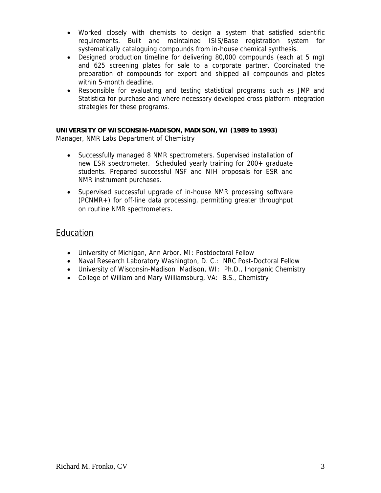- Worked closely with chemists to design a system that satisfied scientific requirements. Built and maintained ISIS/Base registration system for systematically cataloguing compounds from in-house chemical synthesis.
- Designed production timeline for delivering 80,000 compounds (each at 5 mg) and 625 screening plates for sale to a corporate partner. Coordinated the preparation of compounds for export and shipped all compounds and plates within 5-month deadline.
- Responsible for evaluating and testing statistical programs such as JMP and Statistica for purchase and where necessary developed cross platform integration strategies for these programs.

### **UNIVERSITY OF WISCONSIN-MADISON, MADISON, WI (1989 to 1993)**

Manager, NMR Labs Department of Chemistry

- Successfully managed 8 NMR spectrometers. Supervised installation of new ESR spectrometer. Scheduled yearly training for 200+ graduate students. Prepared successful NSF and NIH proposals for ESR and NMR instrument purchases.
- Supervised successful upgrade of in-house NMR processing software (PCNMR+) for off-line data processing, permitting greater throughput on routine NMR spectrometers.

# **Education**

- University of Michigan, Ann Arbor, MI: Postdoctoral Fellow
- Naval Research Laboratory Washington, D. C.: NRC Post-Doctoral Fellow
- University of Wisconsin-Madison Madison, WI: Ph.D., Inorganic Chemistry
- College of William and Mary Williamsburg, VA: B.S., Chemistry